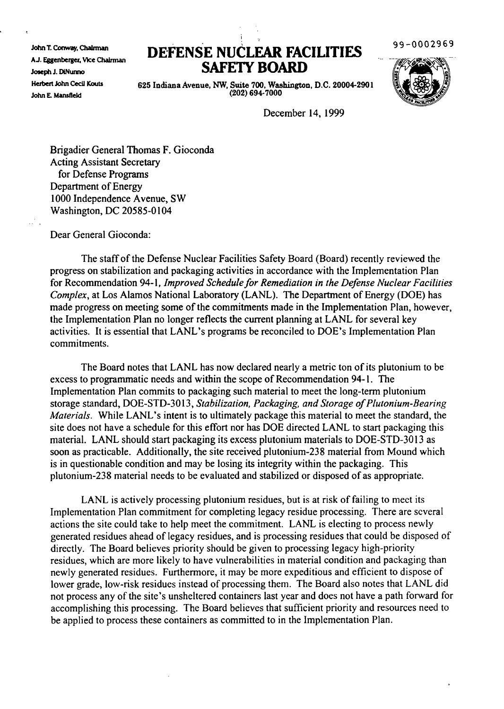John T. Conway, ChaInnan AJ. Eaenberger, VIce Chairman Joseph J. DiNunno Herbert John Cecil Kouts John E. Mansfteld

## **DEFENSE NUCLFAR FACILITIES SAFElY BOARD**

99-0002969



625 Indiana Avenue, NW, Suite 700, Washington, D.C. 20004-2901 (202) 694-7000

December 14, 1999

Brigadier General Thomas F. Gioconda Acting Assistant Secretary for Defense Programs Department of Energy 1000 Independence Avenue, SW Washington, DC 20585-0104

Dear General Gioconda:

The staff of the Defense Nuclear Facilities Safety Board (Board) recently reviewed the progress on stabilization and packaging activities in accordance with the Implementation Plan for Recommendation 94-1, *Improved Schedulefor Remediation in the Defense Nuclear Facilities Complex,* at Los Alamos National Laboratory (LANL). The Department of Energy (DOE) has made progress on meeting some of the commitments made in the Implementation Plan, however, the Implementation Plan no longer reflects the current planning at LANL for several key activities. It is essential that LANL's programs be reconciled to DOE's Implementation Plan commitments.

The Board notes that LANL has now declared nearly a metric ton of its plutonium to be excess to programmatic needs and within the scope of Recommendation 94-1. The Implementation Plan commits to packaging such material to meet the long-term plutonium storage standard, DOE-STD-3013, *Stabilization, Packaging, and Storage ofPlutonium-Bearing Materials.* While LANL's intent is to ultimately package this material to meet the standard, the site does not have a schedule for this effort nor has DOE directed LANL to start packaging this material. LANL should start packaging its excess plutonium materials to DOE-STD-30 13 as soon as practicable. Additionally, the site received plutonium-238 material from Mound which is in questionable condition and may be losing its integrity within the packaging. This plutonium-238 material needs to be evaluated and stabilized or disposed of as appropriate.

LANL is actively processing plutonium residues, but is at risk of failing to meet its Implementation Plan commitment for completing legacy residue processing. There are several actions the site could take to help meet the commitment. LANL is electing to process newly generated residues ahead of legacy residues, and is processing residues that could be disposed of directly. The Board believes priority should be given to processing legacy high-priority residues, which are more likely to have vulnerabilities in material condition and packaging than newly generated residues. Furthermore, it may be more expeditious and efficient to dispose of lower grade, low-risk residues instead of processing them. The Board also notes that LANL did not process any of the site's unsheltered containers last year and does not have a path forward for accomplishing this processing. The Board believes that sufficient priority and resources need to be applied to process these containers as committed to in the Implementation Plan.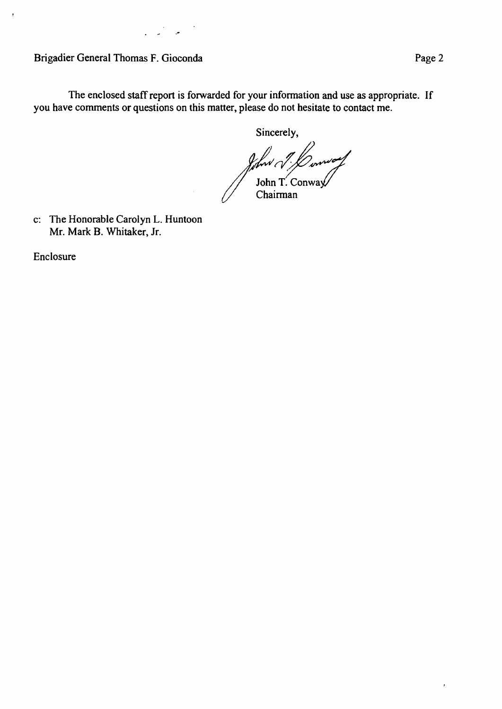Brigadier General Thomas F. Gioconda **Page 2** Page 2

 $\ddot{\phantom{1}}$ 

The enclosed staff report is forwarded for your information and use as appropriate. If you have comments or questions on this matter, please do not hesitate to contact me.

Sincerely,

John J. Low<br>John T. Conway<br>Chairman

c: The Honorable Carolyn L. Huntoon Mr. Mark B. Whitaker, Jr.

Enclosure

 $\bullet$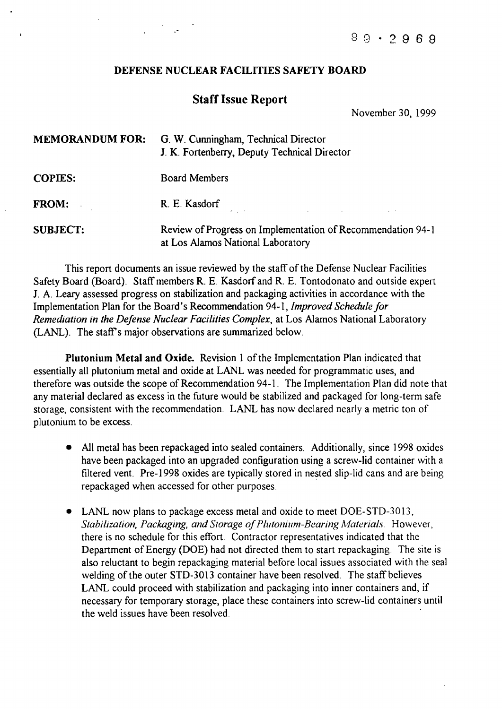## DEFENSE NUCLEAR FACILITIES SAFETY BOARD

.-

## Staff Issue Report

November 30, 1999

| <b>MEMORANDUM FOR:</b>          | G. W. Cunningham, Technical Director<br>J. K. Fortenberry, Deputy Technical Director             |
|---------------------------------|--------------------------------------------------------------------------------------------------|
| <b>COPIES:</b>                  | <b>Board Members</b>                                                                             |
| <b>FROM:</b><br>$\sim$ 10 $\mu$ | R. E. Kasdorf<br>the contract of the contract of the contract of the contract of the contract of |
| <b>SUBJECT:</b>                 | Review of Progress on Implementation of Recommendation 94-1<br>at Los Alamos National Laboratory |

This report documents an issue reviewed by the staff of the Defense Nuclear Facilities Safety Board (Board). Staff members R. E. Kasdorf and R. E. Tontodonato and outside expert 1. A. Leary assessed progress on stabilization and packaging activities in accordance with the Implementation Plan for the Board's Recommendation 94-1, *Improved Schedule for Remediation in the Defense Nuclear Facilities Complex,* at Los Alamos National Laboratory (LANL). The staff's major observations are summarized below.

Plutonium Metal and Oxide. Revision 1 of the Implementation Plan indicated that essentially all plutonium metal and oxide at LANL was needed for programmatic uses, and therefore was outside the scope of Recommendation 94-1. The Implementation Plan did note that any material declared as excess in the future would be stabilized and packaged for long-term safe storage, consistent with the recommendation. LANL has now declared nearly a metric ton of plutonium to be excess.

- All metal has been repackaged into sealed containers. Additionally, since 1998 oxides have been packaged into an upgraded configuration using a screw-lid container with a filtered vent. Pre-1998 oxides are typically stored in nested slip-lid cans and are being repackaged when accessed for other purposes.
- LANL now plans to package excess metal and oxide to meet DOE-STD-3013, *Stabilization, Packaging, and Storage ofPlutonium-Bearing Materials* However, there is no schedule for this effort. Contractor representatives indicated that the Department of Energy (DOE) had not directed them to start repackaging. The site is also reluctant to begin repackaging material before local issues associated with the seal welding of the outer STD-3013 container have been resolved. The staff believes LANL could proceed with stabilization and packaging into inner containers and, if necessary for temporary storage, place these containers into screw-lid containers until the weld issues have been resolved. .